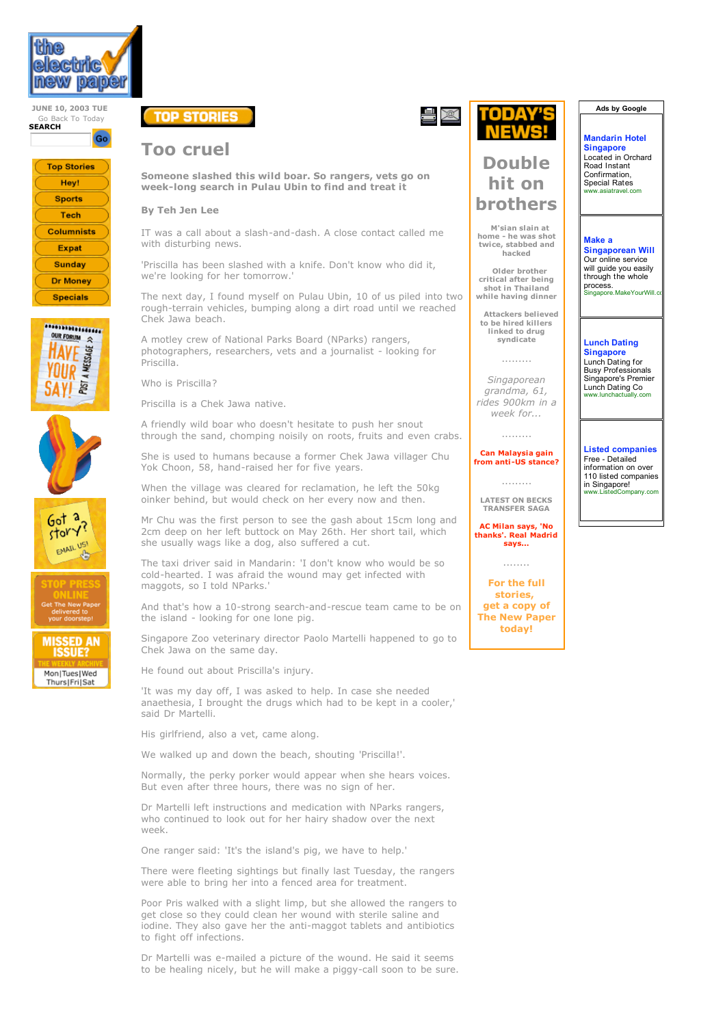

**JUNE 10, 2003 TUE** Go Back To Today **SEARCH**











**MISSED AN ISSUE?** 

Mon|Tues|Wed ThursIFriISat



## **Too cruel**

**Someone slashed this wild boar. So rangers, vets go on week-long search in Pulau Ubin to find and treat it**

### **By Teh Jen Lee**

IT was a call about a slash-and-dash. A close contact called me with disturbing news.

'Priscilla has been slashed with a knife. Don't know who did it, we're looking for her tomorrow.'

The next day, I found myself on Pulau Ubin, 10 of us piled into two rough-terrain vehicles, bumping along a dirt road until we reached Chek Jawa beach.

A motley crew of National Parks Board (NParks) rangers, photographers, researchers, vets and a journalist - looking for Priscilla.

Who is Priscilla?

Priscilla is a Chek Jawa native.

A friendly wild boar who doesn't hesitate to push her snout through the sand, chomping noisily on roots, fruits and even crabs.

She is used to humans because a former Chek Jawa villager Chu Yok Choon, 58, hand-raised her for five years.

When the village was cleared for reclamation, he left the 50kg oinker behind, but would check on her every now and then.

Mr Chu was the first person to see the gash about 15cm long and 2cm deep on her left buttock on May 26th. Her short tail, which she usually wags like a dog, also suffered a cut.

The taxi driver said in Mandarin: 'I don't know who would be so cold-hearted. I was afraid the wound may get infected with maggots, so I told NParks.'

And that's how a 10-strong search-and-rescue team came to be on the island - looking for one lone pig.

Singapore Zoo veterinary director Paolo Martelli happened to go to Chek Jawa on the same day.

He found out about Priscilla's injury.

'It was my day off, I was asked to help. In case she needed anaethesia, I brought the drugs which had to be kept in a cooler,' said Dr Martelli.

His girlfriend, also a vet, came along.

We walked up and down the beach, shouting 'Priscilla!'.

Normally, the perky porker would appear when she hears voices. But even after three hours, there was no sign of her.

Dr Martelli left instructions and medication with NParks rangers, who continued to look out for her hairy shadow over the next week.

One ranger said: 'It's the island's pig, we have to help.'

There were fleeting sightings but finally last Tuesday, the rangers were able to bring her into a fenced area for treatment.

Poor Pris walked with a slight limp, but she allowed the rangers to get close so they could clean her wound with sterile saline and iodine. They also gave her the anti-maggot tablets and antibiotics to fight off infections.

Dr Martelli was e-mailed a picture of the wound. He said it seems to be healing nicely, but he will make a piggy-call soon to be sure.



# **Double hit on brothers**

**M'sian slain at home - he was shot twice, stabbed and hacked**

**Older brother critical after being shot in Thailand while having dinner**

**Attackers believed to be hired killers linked to drug syndicate**

.........

*Singaporean grandma, 61, rides 900km in a week for...*

#### .........

**Can Malaysia gain from anti -US stance?**

.........

**LATEST ON BECKS TRANSFER SAGA**

**AC Milan says, 'No thanks'. Real Madrid says...**

........

**For the full stories, get a copy of The New Paper today!**

**Ads by Google**

**Mandarin Hotel Singapore Located in Orchard** Road Instant Confirmation, Special Rates www.asiatravel.com

#### **Make a**

**Singaporean Will** Our online service will guide you easily through the whole process. Singapore.MakeYourWill.com

### **Lunch Dating**

**Singapore** Lunch Dating for **Busy Professionals** Singapore's Premier Lunch Dating Co w.lunchactually.com

**Listed companies Free - Detailed** information on over 110 listed companies in Singapore!<br>www.ListedCompany.com